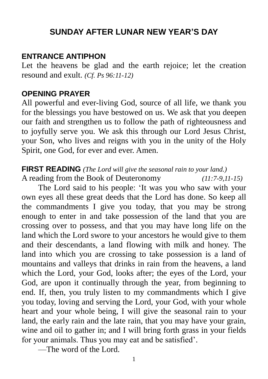## **SUNDAY AFTER LUNAR NEW YEAR'S DAY**

#### **ENTRANCE ANTIPHON**

Let the heavens be glad and the earth rejoice; let the creation resound and exult. *(Cf. Ps 96:11-12)*

#### **OPENING PRAYER**

All powerful and ever-living God, source of all life, we thank you for the blessings you have bestowed on us. We ask that you deepen our faith and strengthen us to follow the path of righteousness and to joyfully serve you. We ask this through our Lord Jesus Christ, your Son, who lives and reigns with you in the unity of the Holy Spirit, one God, for ever and ever. Amen.

**FIRST READING** *(The Lord will give the seasonal rain to your land.)* A reading from the Book of Deuteronomy *(11:7-9,11-15)*

The Lord said to his people: 'It was you who saw with your own eyes all these great deeds that the Lord has done. So keep all the commandments I give you today, that you may be strong enough to enter in and take possession of the land that you are crossing over to possess, and that you may have long life on the land which the Lord swore to your ancestors he would give to them and their descendants, a land flowing with milk and honey. The land into which you are crossing to take possession is a land of mountains and valleys that drinks in rain from the heavens, a land which the Lord, your God, looks after; the eyes of the Lord, your God, are upon it continually through the year, from beginning to end. If, then, you truly listen to my commandments which I give you today, loving and serving the Lord, your God, with your whole heart and your whole being, I will give the seasonal rain to your land, the early rain and the late rain, that you may have your grain, wine and oil to gather in; and I will bring forth grass in your fields for your animals. Thus you may eat and be satisfied'.

—The word of the Lord.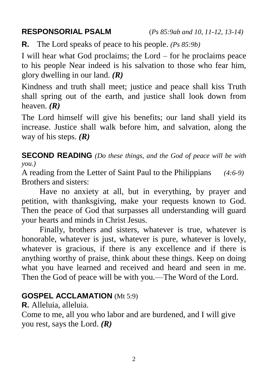**R.** The Lord speaks of peace to his people. *(Ps 85:9b)*

I will hear what God proclaims; the Lord – for he proclaims peace to his people Near indeed is his salvation to those who fear him, glory dwelling in our land. *(R)*

Kindness and truth shall meet; justice and peace shall kiss Truth shall spring out of the earth, and justice shall look down from heaven. *(R)*

The Lord himself will give his benefits; our land shall yield its increase. Justice shall walk before him, and salvation, along the way of his steps. *(R)*

**SECOND READING** *(Do these things, and the God of peace will be with you.)*

A reading from the Letter of Saint Paul to the Philippians *(4:6-9)* Brothers and sisters:

Have no anxiety at all, but in everything, by prayer and petition, with thanksgiving, make your requests known to God. Then the peace of God that surpasses all understanding will guard your hearts and minds in Christ Jesus.

Finally, brothers and sisters, whatever is true, whatever is honorable, whatever is just, whatever is pure, whatever is lovely, whatever is gracious, if there is any excellence and if there is anything worthy of praise, think about these things. Keep on doing what you have learned and received and heard and seen in me. Then the God of peace will be with you.—The Word of the Lord.

# **GOSPEL ACCLAMATION** (Mt 5:9)

**R.** Alleluia, alleluia.

Come to me, all you who labor and are burdened, and I will give you rest, says the Lord. *(R)*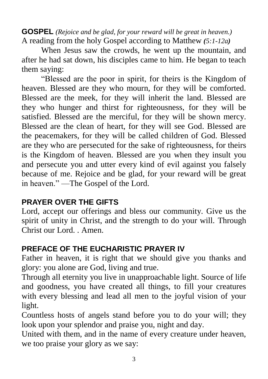**GOSPEL** *(Rejoice and be glad, for your reward will be great in heaven.)* A reading from the holy Gospel according to Matthew *(5:1-12a)*

When Jesus saw the crowds, he went up the mountain, and after he had sat down, his disciples came to him. He began to teach them saying:

"Blessed are the poor in spirit, for theirs is the Kingdom of heaven. Blessed are they who mourn, for they will be comforted. Blessed are the meek, for they will inherit the land. Blessed are they who hunger and thirst for righteousness, for they will be satisfied. Blessed are the merciful, for they will be shown mercy. Blessed are the clean of heart, for they will see God. Blessed are the peacemakers, for they will be called children of God. Blessed are they who are persecuted for the sake of righteousness, for theirs is the Kingdom of heaven. Blessed are you when they insult you and persecute you and utter every kind of evil against you falsely because of me. Rejoice and be glad, for your reward will be great in heaven." —The Gospel of the Lord.

## **PRAYER OVER THE GIFTS**

Lord, accept our offerings and bless our community. Give us the spirit of unity in Christ, and the strength to do your will. Through Christ our Lord. . Amen.

## **PREFACE OF THE EUCHARISTIC PRAYER IV**

Father in heaven, it is right that we should give you thanks and glory: you alone are God, living and true.

Through all eternity you live in unapproachable light. Source of life and goodness, you have created all things, to fill your creatures with every blessing and lead all men to the joyful vision of your light.

Countless hosts of angels stand before you to do your will; they look upon your splendor and praise you, night and day.

United with them, and in the name of every creature under heaven, we too praise your glory as we say: